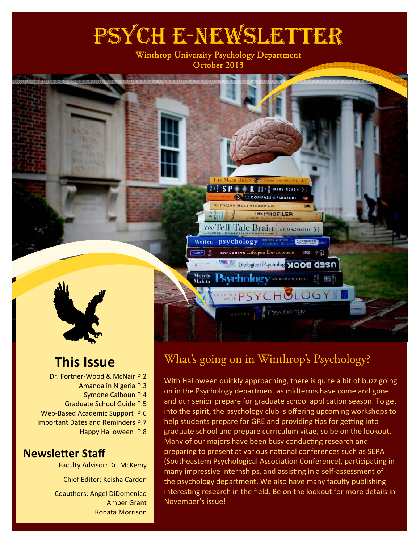# PSYCH E-NEWSLETTER

Winthrop University Psychology Department October 2013



## **This Issue**

Dr. Fortner‐Wood & McNair P.2 Amanda in Nigeria P.3 Symone Calhoun P.4 Graduate School Guide P.5 Web‐Based Academic Support P.6 Important Dates and Reminders P.7 Happy Halloween P.8

### **NewsleƩer Staff**

Faculty Advisor: Dr. McKemy

Chief Editor: Keisha Carden

Coauthors: Angel DiDomenico Amber Grant Ronata Morrison

## What's going on in Winthrop's Psychology?

**ITI SP & K II" | MARY ROACH** 

The Tell-Tale Brain v. S. RAMACHANDRAN X

**EXPLORING** Lifespan Development

psychology themes & yesterness of the state

Biological Psycholog MOOS 03S0

**SVCHOLOGY AN INTRODUCTION EN RES** 

**ICCARELLI PSYCHOLOGY** 

THE PSYCHOLOGY OF THE GIRL WITH THE BRACON TATTOO

Weiten PEARSON

 $K$ ...

Morris

Maisto

**THE COMPASS OF PLEASURE** 

THE PROFILER

With Halloween quickly approaching, there is quite a bit of buzz going on in the Psychology department as midterms have come and gone and our senior prepare for graduate school application season. To get into the spirit, the psychology club is offering upcoming workshops to help students prepare for GRE and providing tips for getting into graduate school and prepare curriculum vitae, so be on the lookout. Many of our majors have been busy conducting research and preparing to present at various national conferences such as SEPA (Southeastern Psychological Association Conference), participating in many impressive internships, and assisting in a self-assessment of the psychology department. We also have many faculty publishing interesting research in the field. Be on the lookout for more details in November's issue!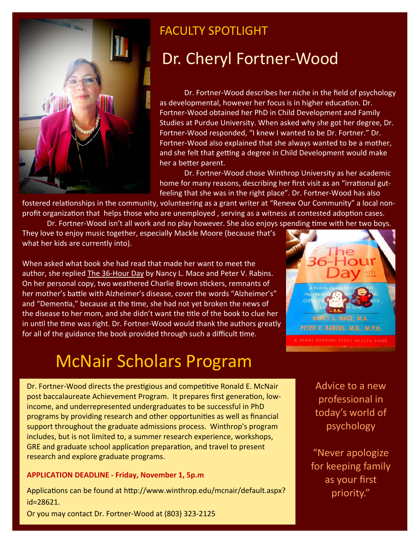

## FACULTY SPOTLIGHT

# Dr. Cheryl Fortner‐Wood

Dr. Fortner‐Wood describes her niche in the field of psychology as developmental, however her focus is in higher education. Dr. Fortner‐Wood obtained her PhD in Child Development and Family Studies at Purdue University. When asked why she got her degree, Dr. Fortner‐Wood responded, "I knew I wanted to be Dr. Fortner." Dr. Fortner‐Wood also explained that she always wanted to be a mother, and she felt that getting a degree in Child Development would make her a better parent.

Dr. Fortner‐Wood chose Winthrop University as her academic home for many reasons, describing her first visit as an "irrational gutfeeling that she was in the right place". Dr. Fortner‐Wood has also

fostered relationships in the community, volunteering as a grant writer at "Renew Our Community" a local nonprofit organization that helps those who are unemployed, serving as a witness at contested adoption cases.

Dr. Fortner-Wood isn't all work and no play however. She also enjoys spending time with her two boys.

They love to enjoy music together, especially Mackle Moore (because that's what her kids are currently into).

When asked what book she had read that made her want to meet the author, she replied The 36-Hour Day by Nancy L. Mace and Peter V. Rabins. On her personal copy, two weathered Charlie Brown stickers, remnants of her mother's battle with Alzheimer's disease, cover the words "Alzheimer's" and "Dementia," because at the time, she had not yet broken the news of the disease to her mom, and she didn't want the title of the book to clue her in until the time was right. Dr. Fortner-Wood would thank the authors greatly for all of the guidance the book provided through such a difficult time.

# McNair Scholars Program

Dr. Fortner-Wood directs the prestigious and competitive Ronald E. McNair post baccalaureate Achievement Program. It prepares first generation, lowincome, and underrepresented undergraduates to be successful in PhD programs by providing research and other opportunities as well as financial support throughout the graduate admissions process. Winthrop's program includes, but is not limited to, a summer research experience, workshops, GRE and graduate school application preparation, and travel to present research and explore graduate programs.

### **APPLICATION DEADLINE ‐ Friday, November 1, 5p.m**

Applications can be found at http://www.winthrop.edu/mcnair/default.aspx? id=28621.

Or you may contact Dr. Fortner‐Wood at (803) 323‐2125



Advice to a new professional in today's world of psychology

"Never apologize for keeping family as your first priority."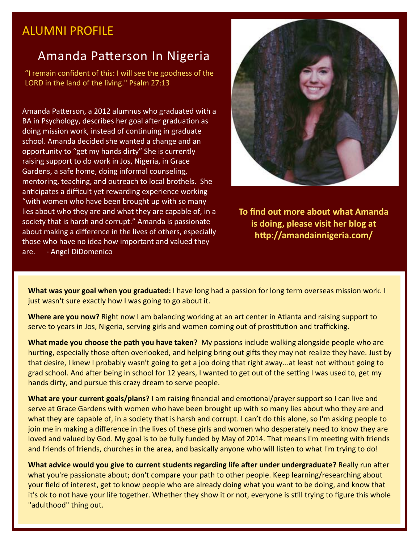### ALUMNI PROFILE

### Amanda Patterson In Nigeria

"I remain confident of this: I will see the goodness of the LORD in the land of the living." Psalm 27:13

Amanda Patterson, a 2012 alumnus who graduated with a BA in Psychology, describes her goal after graduation as doing mission work, instead of continuing in graduate school. Amanda decided she wanted a change and an opportunity to "get my hands dirty" She is currently raising support to do work in Jos, Nigeria, in Grace Gardens, a safe home, doing informal counseling, mentoring, teaching, and outreach to local brothels. She anticipates a difficult yet rewarding experience working "with women who have been brought up with so many lies about who they are and what they are capable of, in a society that is harsh and corrupt." Amanda is passionate about making a difference in the lives of others, especially those who have no idea how important and valued they are. - Angel DiDomenico



**To find out more about what Amanda is doing, please visit her blog at hƩp://amandainnigeria.com/**

**What was your goal when you graduated:** I have long had a passion for long term overseas mission work. I just wasn't sure exactly how I was going to go about it.

**Where are you now?** Right now I am balancing working at an art center in Atlanta and raising support to serve to years in Jos, Nigeria, serving girls and women coming out of prostitution and trafficking.

**What made you choose the path you have taken?** My passions include walking alongside people who are hurting, especially those often overlooked, and helping bring out gifts they may not realize they have. Just by that desire, I knew I probably wasn't going to get a job doing that right away...at least not without going to grad school. And after being in school for 12 years, I wanted to get out of the setting I was used to, get my hands dirty, and pursue this crazy dream to serve people.

**What are your current goals/plans?** I am raising financial and emotional/prayer support so I can live and serve at Grace Gardens with women who have been brought up with so many lies about who they are and what they are capable of, in a society that is harsh and corrupt. I can't do this alone, so I'm asking people to join me in making a difference in the lives of these girls and women who desperately need to know they are loved and valued by God. My goal is to be fully funded by May of 2014. That means I'm meeting with friends and friends of friends, churches in the area, and basically anyone who will listen to what I'm trying to do!

**What advice would you give to current students regarding life after under undergraduate? Really run after** what you're passionate about; don't compare your path to other people. Keep learning/researching about your field of interest, get to know people who are already doing what you want to be doing, and know that it's ok to not have your life together. Whether they show it or not, everyone is still trying to figure this whole "adulthood" thing out.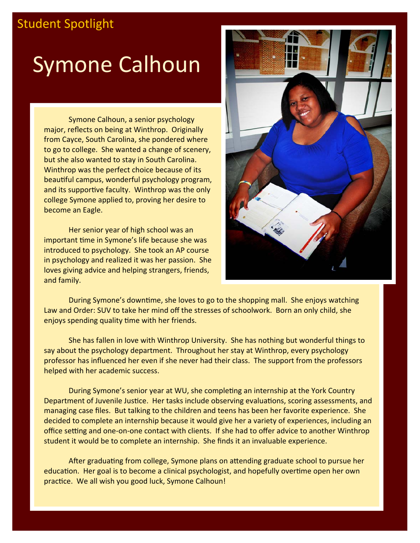## Student Spotlight

# Symone Calhoun

Symone Calhoun, a senior psychology major, reflects on being at Winthrop. Originally from Cayce, South Carolina, she pondered where to go to college. She wanted a change of scenery, but she also wanted to stay in South Carolina. Winthrop was the perfect choice because of its beautiful campus, wonderful psychology program, and its supportive faculty. Winthrop was the only college Symone applied to, proving her desire to become an Eagle.

Her senior year of high school was an important time in Symone's life because she was introduced to psychology. She took an AP course in psychology and realized it was her passion. She loves giving advice and helping strangers, friends, and family.



During Symone's downtime, she loves to go to the shopping mall. She enjoys watching Law and Order: SUV to take her mind off the stresses of schoolwork. Born an only child, she enjoys spending quality time with her friends.

She has fallen in love with Winthrop University. She has nothing but wonderful things to say about the psychology department. Throughout her stay at Winthrop, every psychology professor has influenced her even if she never had their class. The support from the professors helped with her academic success.

During Symone's senior year at WU, she completing an internship at the York Country Department of Juvenile Justice. Her tasks include observing evaluations, scoring assessments, and managing case files. But talking to the children and teens has been her favorite experience. She decided to complete an internship because it would give her a variety of experiences, including an office setting and one-on-one contact with clients. If she had to offer advice to another Winthrop student it would be to complete an internship. She finds it an invaluable experience.

After graduating from college, Symone plans on attending graduate school to pursue her education. Her goal is to become a clinical psychologist, and hopefully overtime open her own practice. We all wish you good luck, Symone Calhoun!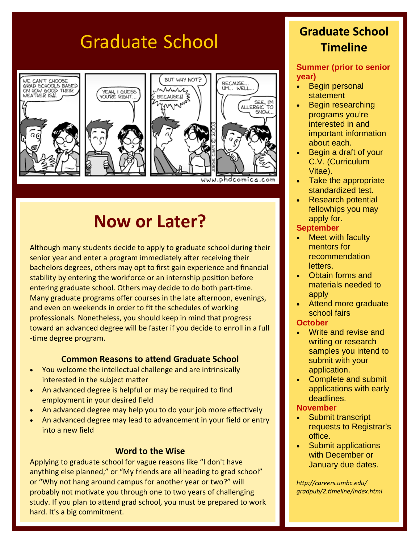# Graduate School **Graduate School**



# **Now or Later?**

Although many students decide to apply to graduate school during their senior year and enter a program immediately after receiving their bachelors degrees, others may opt to first gain experience and financial stability by entering the workforce or an internship position before entering graduate school. Others may decide to do both part-time. Many graduate programs offer courses in the late afternoon, evenings, and even on weekends in order to fit the schedules of working professionals. Nonetheless, you should keep in mind that progress toward an advanced degree will be faster if you decide to enroll in a full ‐Ɵme degree program.

### **Common Reasons to attend Graduate School**

- You welcome the intellectual challenge and are intrinsically interested in the subject matter
- An advanced degree is helpful or may be required to find employment in your desired field
- An advanced degree may help you to do your job more effectively
- An advanced degree may lead to advancement in your field or entry into a new field

### **Word to the Wise**

Applying to graduate school for vague reasons like "I don't have anything else planned," or "My friends are all heading to grad school" or "Why not hang around campus for another year or two?" will probably not motivate you through one to two years of challenging study. If you plan to attend grad school, you must be prepared to work hard. It's a big commitment.

# **Timeline**

#### **Summer (prior to senior year)**

- Begin personal **statement**
- Begin researching programs you're interested in and important information about each.
- Begin a draft of your C.V. (Curriculum Vitae).
- Take the appropriate standardized test.
- Research potential fellowhips you may apply for.

#### **September**

- Meet with faculty mentors for recommendation letters.
- Obtain forms and materials needed to apply
- Attend more graduate school fairs

### **October**

- Write and revise and writing or research samples you intend to submit with your application.
- Complete and submit applications with early deadlines.

#### **November**

- Submit transcript requests to Registrar's office.
- Submit applications with December or January due dates.

*hƩp://careers.umbc.edu/ gradpub/2.Ɵmeline/index.html*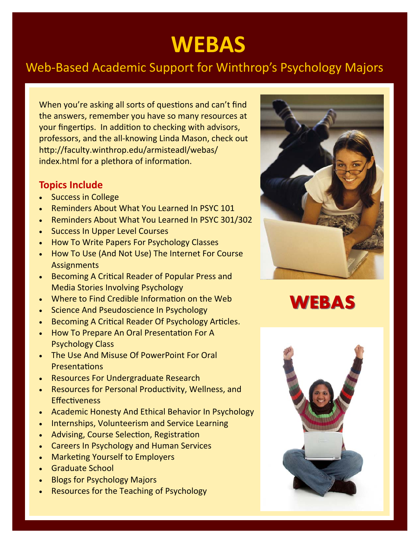# **WEBAS**

## Web‐Based Academic Support for Winthrop's Psychology Majors

When you're asking all sorts of questions and can't find the answers, remember you have so many resources at your fingertips. In addition to checking with advisors, professors, and the all‐knowing Linda Mason, check out http://faculty.winthrop.edu/armisteadl/webas/ index.html for a plethora of information.

### **Topics Include**

- Success in College
- Reminders About What You Learned In PSYC 101
- Reminders About What You Learned In PSYC 301/302
- Success In Upper Level Courses
- How To Write Papers For Psychology Classes
- How To Use (And Not Use) The Internet For Course **Assignments**
- Becoming A Critical Reader of Popular Press and Media Stories Involving Psychology
- Where to Find Credible Information on the Web
- Science And Pseudoscience In Psychology
- Becoming A Critical Reader Of Psychology Articles.
- How To Prepare An Oral Presentation For A Psychology Class
- The Use And Misuse Of PowerPoint For Oral **Presentations**
- Resources For Undergraduate Research
- Resources for Personal Productivity, Wellness, and **Effectiveness**
- Academic Honesty And Ethical Behavior In Psychology
- Internships, Volunteerism and Service Learning
- Advising, Course Selection, Registration
- Careers In Psychology and Human Services
- Marketing Yourself to Employers
- Graduate School
- Blogs for Psychology Majors
- Resources for the Teaching of Psychology



**WEBAS**

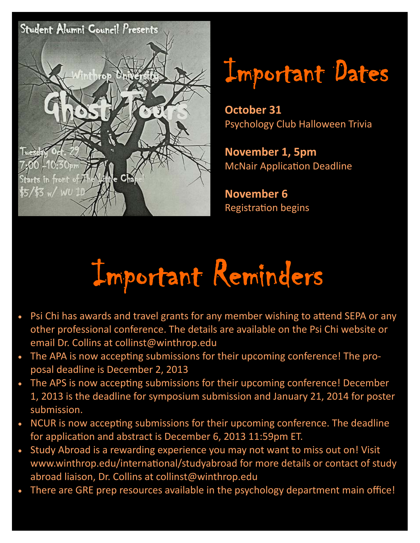



**October 31** Psychology Club Halloween Trivia

**November 1, 5pm McNair Application Deadline** 

**November 6**  Registration begins



- .<br>bu<mark>lo-</mark> Psi Chi has awards and travel grants for any member wishing to attend SEPA or any other professional conference. The details are available on the Psi Chi website or email Dr. Collins at collinst@winthrop.edu
- The APA is now accepting submissions for their upcoming conference! The proposal deadline is December 2, 2013
- The APS is now accepting submissions for their upcoming conference! December 1, 2013 is the deadline for symposium submission and January 21, 2014 for poster submission.
- NCUR is now accepting submissions for their upcoming conference. The deadline for application and abstract is December 6, 2013 11:59pm ET.
- Study Abroad is a rewarding experience you may not want to miss out on! Visit www.winthrop.edu/international/studyabroad for more details or contact of study abroad liaison, Dr. Collins at collinst@winthrop.edu
- There are GRE prep resources available in the psychology department main office!